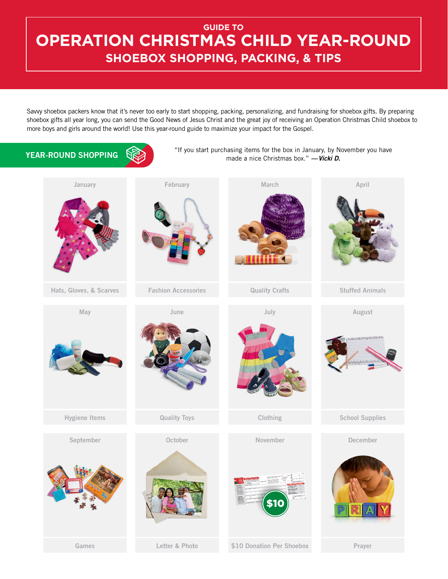## **GUIDE TO OPERATION CHRISTMAS CHILD YEAR-ROUND SHOEBOX SHOPPING, PACKING, & TIPS**

Savvy shoebox packers know that it's never too early to start shopping, packing, personalizing, and fundraising for shoebox gifts. By preparing shoebox gifts all year long, you can send the Good News of Jesus Christ and the great joy of receiving an Operation Christmas Child shoebox to more boys and girls around the world! Use this year-round guide to maximize your impact for the Gospel.